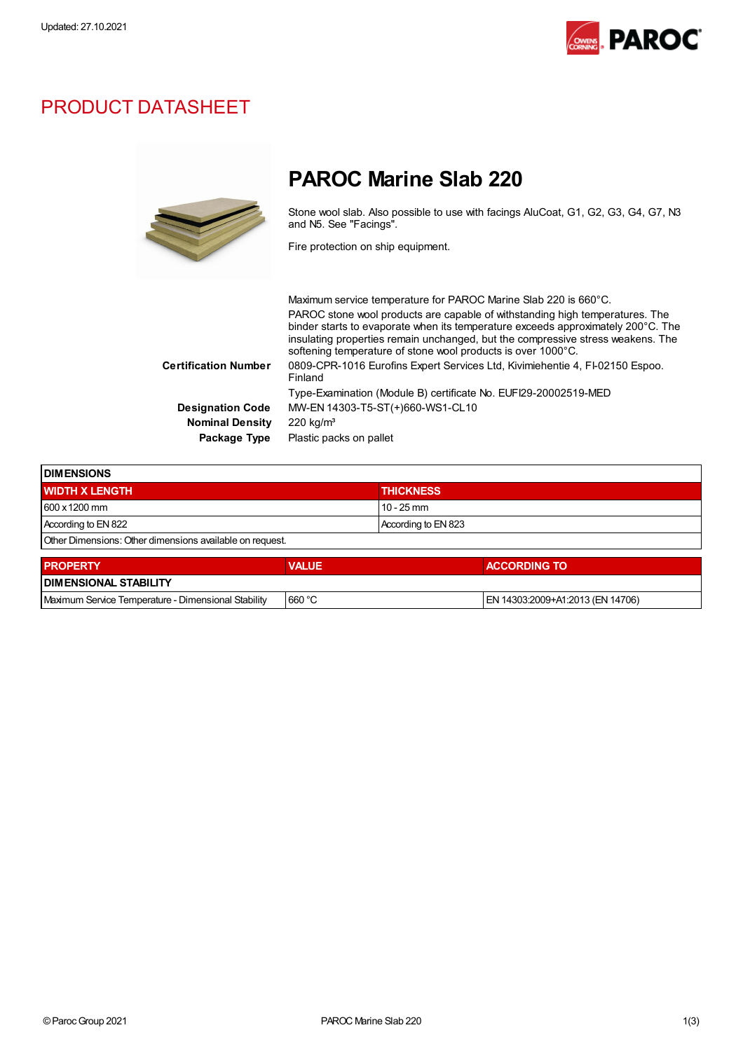

## PRODUCT DATASHEET



# PAROC Marine Slab 220

Stone wool slab. Also possible to use with facings AluCoat, G1, G2, G3, G4, G7, N3 and N5. See "Facings".

Fire protection on ship equipment.

|                             | Maximum service temperature for PAROC Marine Slab 220 is 660°C.                                                                                                                                                                                                                                                     |
|-----------------------------|---------------------------------------------------------------------------------------------------------------------------------------------------------------------------------------------------------------------------------------------------------------------------------------------------------------------|
|                             | PAROC stone wool products are capable of withstanding high temperatures. The<br>binder starts to evaporate when its temperature exceeds approximately 200°C. The<br>insulating properties remain unchanged, but the compressive stress weakens. The<br>softening temperature of stone wool products is over 1000°C. |
| <b>Certification Number</b> | 0809-CPR-1016 Eurofins Expert Services Ltd, Kivimiehentie 4, FI-02150 Espoo.<br>Finland                                                                                                                                                                                                                             |
|                             | Type-Examination (Module B) certificate No. EUFI29-20002519-MED                                                                                                                                                                                                                                                     |
| <b>Designation Code</b>     | MW-EN 14303-T5-ST(+)660-WS1-CL10                                                                                                                                                                                                                                                                                    |
| <b>Nominal Density</b>      | $220 \text{ kg/m}^3$                                                                                                                                                                                                                                                                                                |
| Package Type                | Plastic packs on pallet                                                                                                                                                                                                                                                                                             |

| <b>IDIMENSIONS</b>                                       |                     |  |  |  |
|----------------------------------------------------------|---------------------|--|--|--|
| <b>WIDTH X LENGTH</b>                                    | <b>THICKNESS</b>    |  |  |  |
| 600 x 1200 mm                                            | $10 - 25$ mm        |  |  |  |
| According to EN 822                                      | According to EN 823 |  |  |  |
| Other Dimensions: Other dimensions available on request. |                     |  |  |  |
|                                                          |                     |  |  |  |

| <b>I PROPERTY</b>                                   | <b>VALUE</b> | <b>ACCORDING TO</b>              |  |  |  |
|-----------------------------------------------------|--------------|----------------------------------|--|--|--|
| <b>IDIMENSIONAL STABILITY</b>                       |              |                                  |  |  |  |
| Maximum Service Temperature - Dimensional Stability | 660 °C       | EN 14303:2009+A1:2013 (EN 14706) |  |  |  |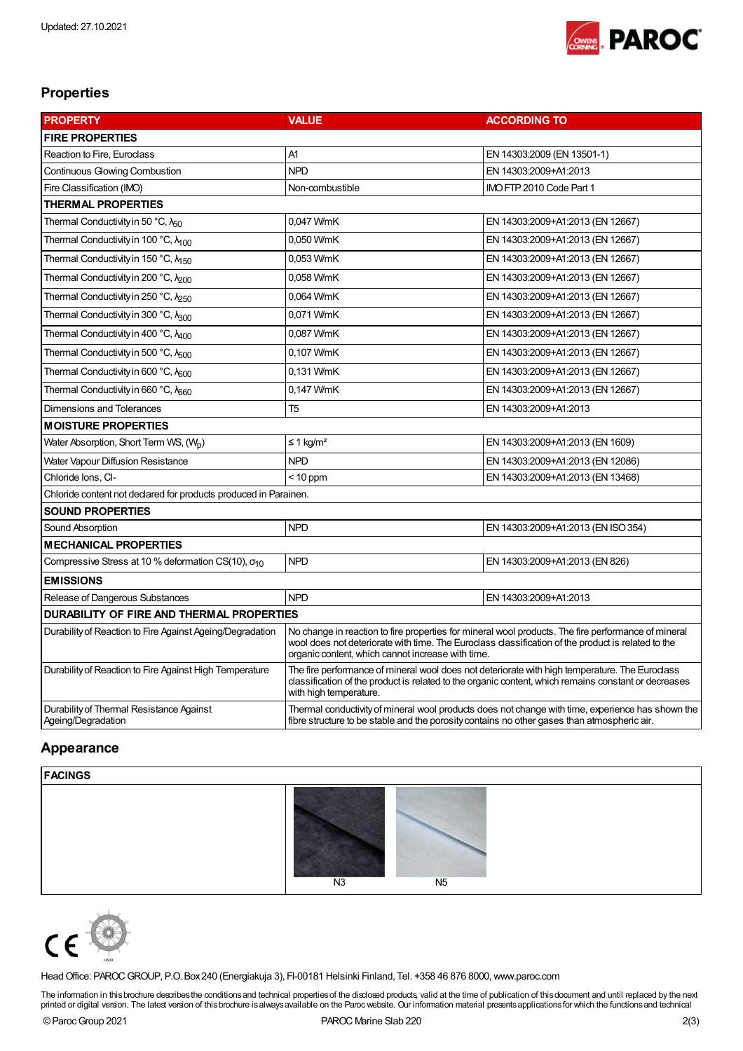

### **Properties**

| <b>PROPERTY</b>                                                  | <b>VALUE</b>                                                                                                                                                                                                                                                   | <b>ACCORDING TO</b>                |  |  |  |  |
|------------------------------------------------------------------|----------------------------------------------------------------------------------------------------------------------------------------------------------------------------------------------------------------------------------------------------------------|------------------------------------|--|--|--|--|
| <b>FIRE PROPERTIES</b>                                           |                                                                                                                                                                                                                                                                |                                    |  |  |  |  |
| Reaction to Fire, Euroclass                                      | A1                                                                                                                                                                                                                                                             | EN 14303:2009 (EN 13501-1)         |  |  |  |  |
| <b>Continuous Glowing Combustion</b>                             | <b>NPD</b>                                                                                                                                                                                                                                                     | EN 14303:2009+A1:2013              |  |  |  |  |
| Fire Classification (IMO)                                        | Non-combustible                                                                                                                                                                                                                                                | IMO FTP 2010 Code Part 1           |  |  |  |  |
| <b>THERMAL PROPERTIES</b>                                        |                                                                                                                                                                                                                                                                |                                    |  |  |  |  |
| Thermal Conductivity in 50 °C, $\lambda_{50}$                    | 0,047 W/mK                                                                                                                                                                                                                                                     | EN 14303:2009+A1:2013 (EN 12667)   |  |  |  |  |
| Thermal Conductivity in 100 °C, N <sub>100</sub>                 | 0,050 W/mK                                                                                                                                                                                                                                                     | EN 14303:2009+A1:2013 (EN 12667)   |  |  |  |  |
| Thermal Conductivity in 150 °C, N <sub>150</sub>                 | 0,053 W/mK                                                                                                                                                                                                                                                     | EN 14303:2009+A1:2013 (EN 12667)   |  |  |  |  |
| Thermal Conductivity in 200 °C, Nono                             | 0,058 W/mK                                                                                                                                                                                                                                                     | EN 14303:2009+A1:2013 (EN 12667)   |  |  |  |  |
| Thermal Conductivity in 250 °C, $\lambda_{250}$                  | 0,064 W/mK                                                                                                                                                                                                                                                     | EN 14303:2009+A1:2013 (EN 12667)   |  |  |  |  |
| Thermal Conductivity in 300 °C, A300                             | 0,071 W/mK                                                                                                                                                                                                                                                     | EN 14303:2009+A1:2013 (EN 12667)   |  |  |  |  |
| Thermal Conductivity in 400 °C, N <sub>400</sub>                 | 0,087 W/mK                                                                                                                                                                                                                                                     | EN 14303:2009+A1:2013 (EN 12667)   |  |  |  |  |
| Thermal Conductivity in 500 °C, N <sub>500</sub>                 | 0,107 W/mK                                                                                                                                                                                                                                                     | EN 14303:2009+A1:2013 (EN 12667)   |  |  |  |  |
| Thermal Conductivity in 600 °C, N <sub>600</sub>                 | 0,131 W/mK                                                                                                                                                                                                                                                     | EN 14303:2009+A1:2013 (EN 12667)   |  |  |  |  |
| Thermal Conductivity in 660 °C, λ <sub>660</sub>                 | 0,147 W/mK                                                                                                                                                                                                                                                     | EN 14303:2009+A1:2013 (EN 12667)   |  |  |  |  |
| <b>Dimensions and Tolerances</b>                                 | T <sub>5</sub>                                                                                                                                                                                                                                                 | EN 14303:2009+A1:2013              |  |  |  |  |
| <b>MOISTURE PROPERTIES</b>                                       |                                                                                                                                                                                                                                                                |                                    |  |  |  |  |
| Water Absorption, Short Term WS, (Wo)                            | ≤ 1 kg/m <sup>2</sup>                                                                                                                                                                                                                                          | EN 14303:2009+A1:2013 (EN 1609)    |  |  |  |  |
| Water Vapour Diffusion Resistance                                | <b>NPD</b>                                                                                                                                                                                                                                                     | EN 14303:2009+A1:2013 (EN 12086)   |  |  |  |  |
| Chloride Ions, CI-                                               | $<$ 10 ppm                                                                                                                                                                                                                                                     | EN 14303:2009+A1:2013 (EN 13468)   |  |  |  |  |
| Chloride content not declared for products produced in Parainen. |                                                                                                                                                                                                                                                                |                                    |  |  |  |  |
| <b>SOUND PROPERTIES</b>                                          |                                                                                                                                                                                                                                                                |                                    |  |  |  |  |
| Sound Absorption                                                 | <b>NPD</b>                                                                                                                                                                                                                                                     | EN 14303:2009+A1:2013 (EN ISO 354) |  |  |  |  |
| <b>MECHANICAL PROPERTIES</b>                                     |                                                                                                                                                                                                                                                                |                                    |  |  |  |  |
| Compressive Stress at 10 % deformation CS(10), $\sigma_{10}$     | <b>NPD</b>                                                                                                                                                                                                                                                     | EN 14303:2009+A1:2013 (EN 826)     |  |  |  |  |
| <b>EMISSIONS</b>                                                 |                                                                                                                                                                                                                                                                |                                    |  |  |  |  |
| Release of Dangerous Substances                                  | <b>NPD</b>                                                                                                                                                                                                                                                     | EN 14303:2009+A1:2013              |  |  |  |  |
| DURABILITY OF FIRE AND THERMAL PROPERTIES                        |                                                                                                                                                                                                                                                                |                                    |  |  |  |  |
| Durability of Reaction to Fire Against Ageing/Degradation        | No change in reaction to fire properties for mineral wool products. The fire performance of mineral<br>wool does not deteriorate with time. The Euroclass classification of the product is related to the<br>organic content, which cannot increase with time. |                                    |  |  |  |  |
| Durability of Reaction to Fire Against High Temperature          | The fire performance of mineral wool does not deteriorate with high temperature. The Euroclass<br>classification of the product is related to the organic content, which remains constant or decreases<br>with high temperature.                               |                                    |  |  |  |  |
| Durability of Thermal Resistance Against<br>Ageing/Degradation   | Thermal conductivity of mineral wool products does not change with time, experience has shown the<br>fibre structure to be stable and the porosity contains no other gases than atmospheric air.                                                               |                                    |  |  |  |  |

#### Appearance

#### FACINGS





HeadOffice: PAROCGROUP, P.O. Box240 (Energiakuja 3), FI-00181 Helsinki Finland, Tel. +358 46 876 8000,www.paroc.com

The information in thisbrochure describes the conditions and technical properties of the disdosed products, valid at the time of publication of this document and until replaced by the next<br>printed or digital version. The l